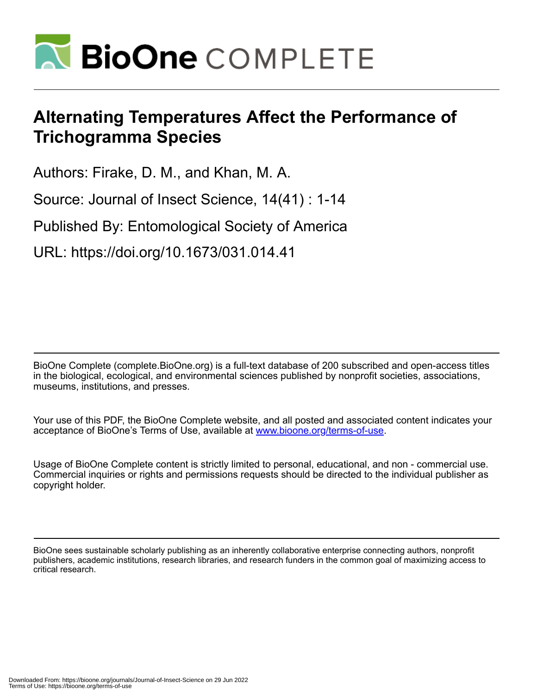

# **Alternating Temperatures Affect the Performance of Trichogramma Species**

Authors: Firake, D. M., and Khan, M. A.

Source: Journal of Insect Science, 14(41) : 1-14

Published By: Entomological Society of America

URL: https://doi.org/10.1673/031.014.41

BioOne Complete (complete.BioOne.org) is a full-text database of 200 subscribed and open-access titles in the biological, ecological, and environmental sciences published by nonprofit societies, associations, museums, institutions, and presses.

Your use of this PDF, the BioOne Complete website, and all posted and associated content indicates your acceptance of BioOne's Terms of Use, available at www.bioone.org/terms-of-use.

Usage of BioOne Complete content is strictly limited to personal, educational, and non - commercial use. Commercial inquiries or rights and permissions requests should be directed to the individual publisher as copyright holder.

BioOne sees sustainable scholarly publishing as an inherently collaborative enterprise connecting authors, nonprofit publishers, academic institutions, research libraries, and research funders in the common goal of maximizing access to critical research.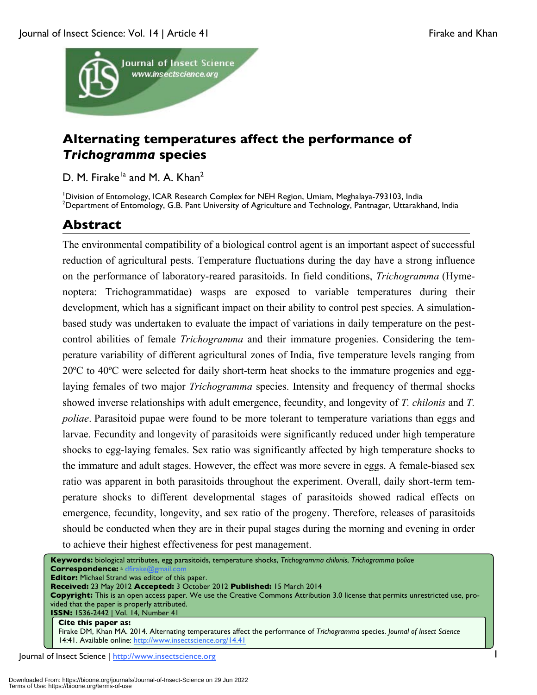

# **Alternating temperatures affect the performance of**  *Trichogramma* **species**

D. M. Firake<sup>1a</sup> and M. A. Khan<sup>2</sup>

<sup>1</sup> Division of Entomology, ICAR Research Complex for NEH Region, Umiam, Meghalaya-793103, India<br><sup>2</sup> Department of Entomology, C. B. Bant University of Agriculture and Technology, Bantaggar, Utterakk <sup>2</sup>Department of Entomology, G.B. Pant University of Agriculture and Technology, Pantnagar, Uttarakhand, India

## **Abstract**

The environmental compatibility of a biological control agent is an important aspect of successful reduction of agricultural pests. Temperature fluctuations during the day have a strong influence on the performance of laboratory-reared parasitoids. In field conditions, *Trichogramma* (Hymenoptera: Trichogrammatidae) wasps are exposed to variable temperatures during their development, which has a significant impact on their ability to control pest species. A simulationbased study was undertaken to evaluate the impact of variations in daily temperature on the pestcontrol abilities of female *Trichogramma* and their immature progenies. Considering the temperature variability of different agricultural zones of India, five temperature levels ranging from 20ºC to 40ºC were selected for daily short-term heat shocks to the immature progenies and egglaying females of two major *Trichogramma* species. Intensity and frequency of thermal shocks showed inverse relationships with adult emergence, fecundity, and longevity of *T. chilonis* and *T. poliae*. Parasitoid pupae were found to be more tolerant to temperature variations than eggs and larvae. Fecundity and longevity of parasitoids were significantly reduced under high temperature shocks to egg-laying females. Sex ratio was significantly affected by high temperature shocks to the immature and adult stages. However, the effect was more severe in eggs. A female-biased sex ratio was apparent in both parasitoids throughout the experiment. Overall, daily short-term temperature shocks to different developmental stages of parasitoids showed radical effects on emergence, fecundity, longevity, and sex ratio of the progeny. Therefore, releases of parasitoids should be conducted when they are in their pupal stages during the morning and evening in order to achieve their highest effectiveness for pest management.

![](_page_1_Picture_8.jpeg)

Journal of Insect Science | http://www.insectscience.org 1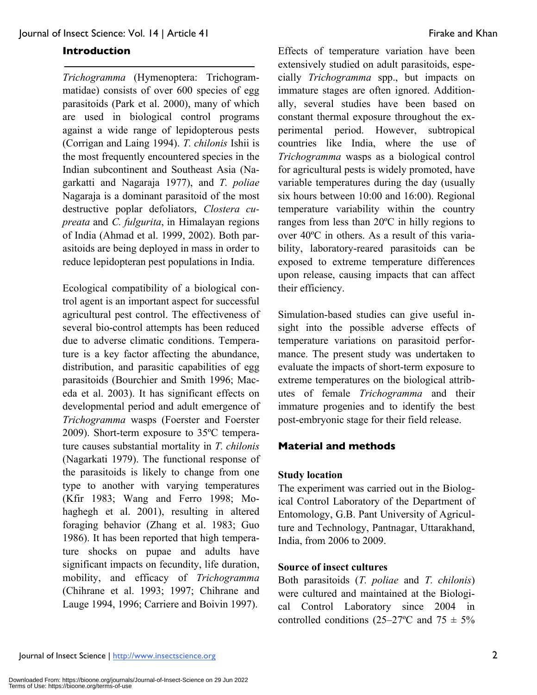### **Introduction**

*Trichogramma* (Hymenoptera: Trichogrammatidae) consists of over 600 species of egg parasitoids (Park et al. 2000), many of which are used in biological control programs against a wide range of lepidopterous pests (Corrigan and Laing 1994). *T. chilonis* Ishii is the most frequently encountered species in the Indian subcontinent and Southeast Asia (Nagarkatti and Nagaraja 1977), and *T. poliae* Nagaraja is a dominant parasitoid of the most destructive poplar defoliators, *Clostera cupreata* and *C. fulgurita*, in Himalayan regions of India (Ahmad et al. 1999, 2002). Both parasitoids are being deployed in mass in order to reduce lepidopteran pest populations in India.

Ecological compatibility of a biological control agent is an important aspect for successful agricultural pest control. The effectiveness of several bio-control attempts has been reduced due to adverse climatic conditions. Temperature is a key factor affecting the abundance, distribution, and parasitic capabilities of egg parasitoids (Bourchier and Smith 1996; Maceda et al. 2003). It has significant effects on developmental period and adult emergence of *Trichogramma* wasps (Foerster and Foerster 2009). Short-term exposure to 35ºC temperature causes substantial mortality in *T. chilonis*  (Nagarkati 1979). The functional response of the parasitoids is likely to change from one type to another with varying temperatures (Kfir 1983; Wang and Ferro 1998; Mohaghegh et al. 2001), resulting in altered foraging behavior (Zhang et al. 1983; Guo 1986). It has been reported that high temperature shocks on pupae and adults have significant impacts on fecundity, life duration, mobility, and efficacy of *Trichogramma* (Chihrane et al. 1993; 1997; Chihrane and Lauge 1994, 1996; Carriere and Boivin 1997).

Effects of temperature variation have been extensively studied on adult parasitoids, especially *Trichogramma* spp., but impacts on immature stages are often ignored. Additionally, several studies have been based on constant thermal exposure throughout the experimental period. However, subtropical countries like India, where the use of *Trichogramma* wasps as a biological control for agricultural pests is widely promoted, have variable temperatures during the day (usually six hours between 10:00 and 16:00). Regional temperature variability within the country ranges from less than 20ºC in hilly regions to over 40ºC in others. As a result of this variability, laboratory-reared parasitoids can be exposed to extreme temperature differences upon release, causing impacts that can affect their efficiency.

Simulation-based studies can give useful insight into the possible adverse effects of temperature variations on parasitoid performance. The present study was undertaken to evaluate the impacts of short-term exposure to extreme temperatures on the biological attributes of female *Trichogramma* and their immature progenies and to identify the best post-embryonic stage for their field release.

### **Material and methods**

### **Study location**

The experiment was carried out in the Biological Control Laboratory of the Department of Entomology, G.B. Pant University of Agriculture and Technology, Pantnagar, Uttarakhand, India, from 2006 to 2009.

### **Source of insect cultures**

Both parasitoids (*T. poliae* and *T. chilonis*) were cultured and maintained at the Biological Control Laboratory since 2004 in controlled conditions (25–27°C and 75  $\pm$  5%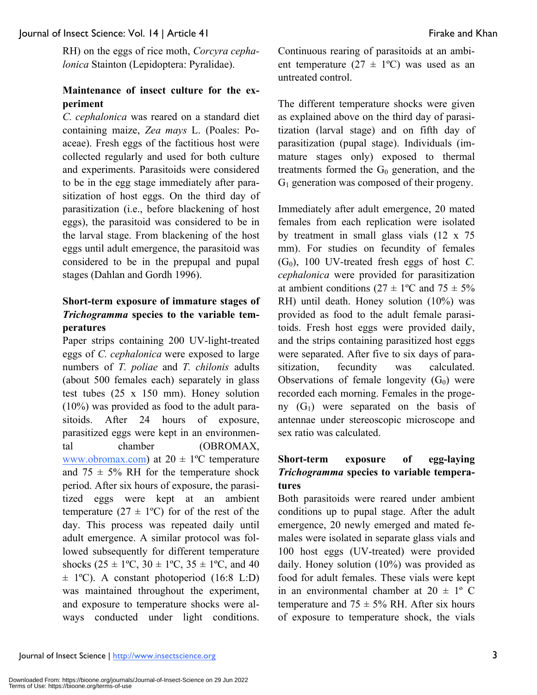RH) on the eggs of rice moth, *Corcyra cephalonica* Stainton (Lepidoptera: Pyralidae).

### **Maintenance of insect culture for the experiment**

*C. cephalonica* was reared on a standard diet containing maize, *Zea mays* L. (Poales: Poaceae). Fresh eggs of the factitious host were collected regularly and used for both culture and experiments. Parasitoids were considered to be in the egg stage immediately after parasitization of host eggs. On the third day of parasitization (i.e., before blackening of host eggs), the parasitoid was considered to be in the larval stage. From blackening of the host eggs until adult emergence, the parasitoid was considered to be in the prepupal and pupal stages (Dahlan and Gordh 1996).

### **Short-term exposure of immature stages of**  *Trichogramma* **species to the variable temperatures**

Paper strips containing 200 UV-light-treated eggs of *C. cephalonica* were exposed to large numbers of *T. poliae* and *T. chilonis* adults (about 500 females each) separately in glass test tubes (25 x 150 mm). Honey solution (10%) was provided as food to the adult parasitoids. After 24 hours of exposure, parasitized eggs were kept in an environmental chamber (OBROMAX, www.obromax.com) at  $20 \pm 1$ <sup>o</sup>C temperature and  $75 \pm 5\%$  RH for the temperature shock period. After six hours of exposure, the parasitized eggs were kept at an ambient temperature  $(27 \pm 1$ <sup>o</sup>C) for of the rest of the day. This process was repeated daily until adult emergence. A similar protocol was followed subsequently for different temperature shocks  $(25 \pm 1^{\circ}C, 30 \pm 1^{\circ}C, 35 \pm 1^{\circ}C,$  and 40  $\pm$  1<sup>o</sup>C). A constant photoperiod (16:8 L:D) was maintained throughout the experiment, and exposure to temperature shocks were always conducted under light conditions. Continuous rearing of parasitoids at an ambient temperature  $(27 \pm 1^{\circ}\text{C})$  was used as an untreated control.

The different temperature shocks were given as explained above on the third day of parasitization (larval stage) and on fifth day of parasitization (pupal stage). Individuals (immature stages only) exposed to thermal treatments formed the  $G_0$  generation, and the G1 generation was composed of their progeny.

Immediately after adult emergence, 20 mated females from each replication were isolated by treatment in small glass vials (12 x 75 mm). For studies on fecundity of females  $(G<sub>0</sub>)$ , 100 UV-treated fresh eggs of host *C*. *cephalonica* were provided for parasitization at ambient conditions ( $27 \pm 1$ °C and  $75 \pm 5\%$ RH) until death. Honey solution (10%) was provided as food to the adult female parasitoids. Fresh host eggs were provided daily, and the strips containing parasitized host eggs were separated. After five to six days of parasitization, fecundity was calculated. Observations of female longevity  $(G_0)$  were recorded each morning. Females in the progeny  $(G_1)$  were separated on the basis of antennae under stereoscopic microscope and sex ratio was calculated.

### **Short-term exposure of egg-laying**  *Trichogramma* **species to variable temperatures**

Both parasitoids were reared under ambient conditions up to pupal stage. After the adult emergence, 20 newly emerged and mated females were isolated in separate glass vials and 100 host eggs (UV-treated) were provided daily. Honey solution (10%) was provided as food for adult females. These vials were kept in an environmental chamber at  $20 \pm 1$ ° C temperature and  $75 \pm 5\%$  RH. After six hours of exposure to temperature shock, the vials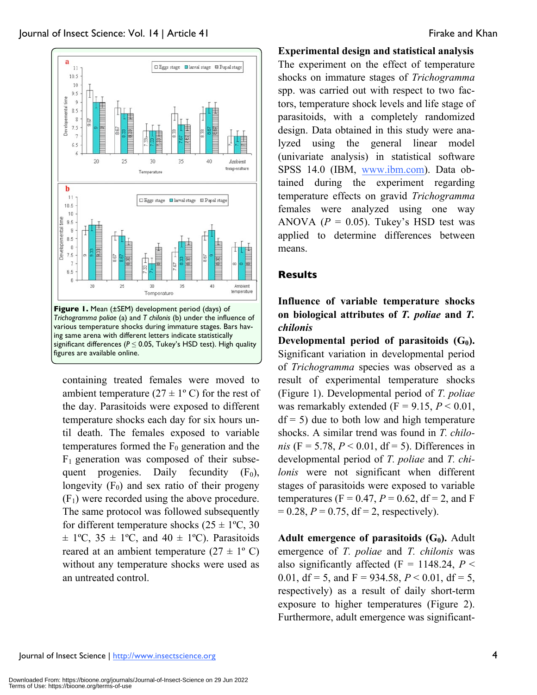![](_page_4_Figure_2.jpeg)

containing treated females were moved to ambient temperature  $(27 \pm 1)$ °C) for the rest of the day. Parasitoids were exposed to different temperature shocks each day for six hours until death. The females exposed to variable temperatures formed the  $F_0$  generation and the  $F_1$  generation was composed of their subsequent progenies. Daily fecundity  $(F_0)$ , longevity  $(F_0)$  and sex ratio of their progeny  $(F_1)$  were recorded using the above procedure. The same protocol was followed subsequently for different temperature shocks  $(25 \pm 1^{\circ}C, 30)$  $\pm$  1°C, 35  $\pm$  1°C, and 40  $\pm$  1°C). Parasitoids reared at an ambient temperature  $(27 \pm 1^{\circ} \text{ C})$ without any temperature shocks were used as an untreated control.

### **Experimental design and statistical analysis**

The experiment on the effect of temperature shocks on immature stages of *Trichogramma* spp. was carried out with respect to two factors, temperature shock levels and life stage of parasitoids, with a completely randomized design. Data obtained in this study were analyzed using the general linear model (univariate analysis) in statistical software SPSS 14.0 (IBM, www.ibm.com). Data obtained during the experiment regarding temperature effects on gravid *Trichogramma* females were analyzed using one way ANOVA  $(P = 0.05)$ . Tukey's HSD test was applied to determine differences between means.

### **Results**

**Influence of variable temperature shocks on biological attributes of** *T. poliae* **and** *T. chilonis*

**Developmental period of parasitoids**  $(G_0)$ **.** Significant variation in developmental period of *Trichogramma* species was observed as a result of experimental temperature shocks (Figure 1). Developmental period of *T. poliae* was remarkably extended  $(F = 9.15, P \le 0.01,$  $df = 5$ ) due to both low and high temperature shocks. A similar trend was found in *T. chilonis* ( $F = 5.78$ ,  $P < 0.01$ , df = 5). Differences in developmental period of *T. poliae* and *T. chilonis* were not significant when different stages of parasitoids were exposed to variable temperatures ( $F = 0.47$ ,  $P = 0.62$ ,  $df = 2$ , and F  $= 0.28, P = 0.75, df = 2$ , respectively).

Adult emergence of parasitoids (G<sub>0</sub>). Adult emergence of *T. poliae* and *T. chilonis* was also significantly affected (F = 1148.24,  $P \leq$ 0.01,  $df = 5$ , and  $F = 934.58$ ,  $P < 0.01$ ,  $df = 5$ , respectively) as a result of daily short-term exposure to higher temperatures (Figure 2). Furthermore, adult emergence was significant-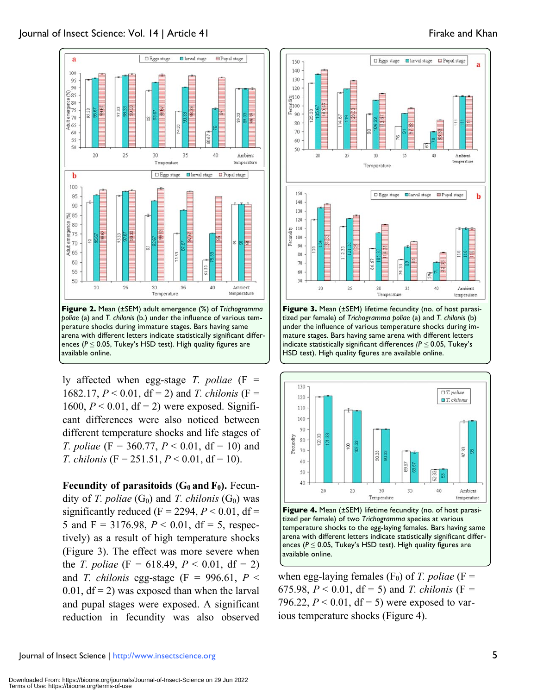![](_page_5_Figure_0.jpeg)

![](_page_5_Figure_1.jpeg)

ences (*P* ≤ 0.05, Tukey's HSD test). High quality figures are available online.

ly affected when egg-stage *T. poliae* (F = 1682.17,  $P < 0.01$ , df = 2) and *T. chilonis* (F = 1600,  $P < 0.01$ , df = 2) were exposed. Significant differences were also noticed between different temperature shocks and life stages of *T. poliae* (F = 360.77, *P* < 0.01, df = 10) and *T. chilonis* (F = 251.51,  $P < 0.01$ , df = 10).

**Fecundity of parasitoids**  $(G_0 \text{ and } F_0)$ **.** Fecundity of *T. poliae*  $(G_0)$  and *T. chilonis*  $(G_0)$  was significantly reduced ( $F = 2294$ ,  $P < 0.01$ , df = 5 and F = 3176.98,  $P < 0.01$ , df = 5, respectively) as a result of high temperature shocks (Figure 3). The effect was more severe when the *T. poliae* (F = 618.49, *P* < 0.01, df = 2) and *T. chilonis* egg-stage (F = 996.61,  $P \le$  $0.01$ ,  $df = 2$ ) was exposed than when the larval and pupal stages were exposed. A significant reduction in fecundity was also observed

![](_page_5_Figure_5.jpeg)

tized per female) of *Trichogramma poliae* (a) and *T. chilonis* (b) under the influence of various temperature shocks during immature stages. Bars having same arena with different letters indicate statistically significant differences *(P ≤* 0.05, Tukey's HSD test). High quality figures are available online.

![](_page_5_Figure_7.jpeg)

**Figure 4.** Mean (±SEM) lifetime fecundity (no. of host parasitized per female) of two *Trichogramma* species at various temperature shocks to the egg-laying females. Bars having same arena with different letters indicate statistically significant differences (*P* ≤ 0.05, Tukey's HSD test). High quality figures are available online.

when egg-laying females  $(F_0)$  of *T. poliae* (F = 675.98,  $P < 0.01$ , df = 5) and *T. chilonis* (F = 796.22,  $P < 0.01$ , df = 5) were exposed to various temperature shocks (Figure 4).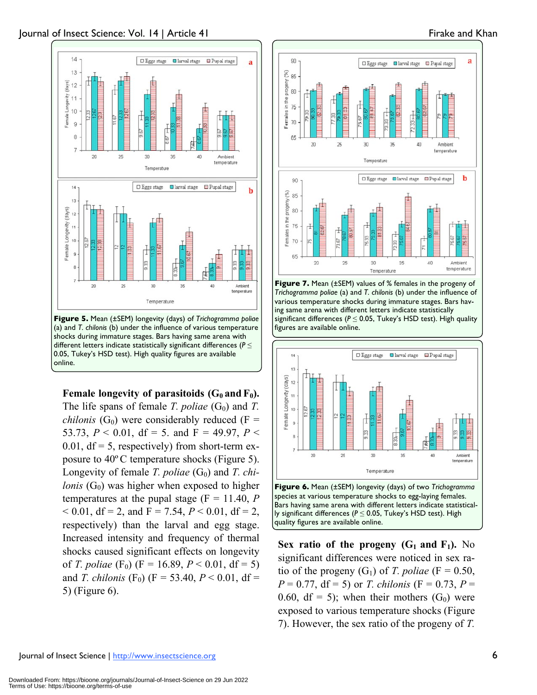![](_page_6_Figure_2.jpeg)

**Female longevity of parasitoids**  $(G_0 \text{ and } F_0)$ **.** The life spans of female *T. poliae*  $(G_0)$  and *T. chilonis* (G<sub>0</sub>) were considerably reduced (F = 53.73,  $P < 0.01$ , df = 5. and F = 49.97,  $P <$ 0.01,  $df = 5$ , respectively) from short-term exposure to 40ºC temperature shocks (Figure 5). Longevity of female *T. poliae* (G<sub>0</sub>) and *T. chilonis*  $(G_0)$  was higher when exposed to higher temperatures at the pupal stage  $(F = 11.40, P)$  $< 0.01$ , df = 2, and F = 7.54,  $P < 0.01$ , df = 2, respectively) than the larval and egg stage. Increased intensity and frequency of thermal shocks caused significant effects on longevity of *T. poliae* (F<sub>0</sub>) (F = 16.89,  $P < 0.01$ , df = 5) and *T. chilonis* (F<sub>0</sub>) (F = 53.40, *P* < 0.01, df = 5) (Figure 6).

![](_page_6_Figure_4.jpeg)

![](_page_6_Figure_5.jpeg)

![](_page_6_Figure_6.jpeg)

![](_page_6_Figure_7.jpeg)

**Sex ratio of the progeny**  $(G_1 \text{ and } F_1)$ **.** No significant differences were noticed in sex ratio of the progeny  $(G_1)$  of *T. poliae* (F = 0.50,  $P = 0.77$ , df = 5) or *T. chilonis* (F = 0.73,  $P =$ 0.60, df = 5); when their mothers  $(G_0)$  were exposed to various temperature shocks (Figure 7). However, the sex ratio of the progeny of *T.*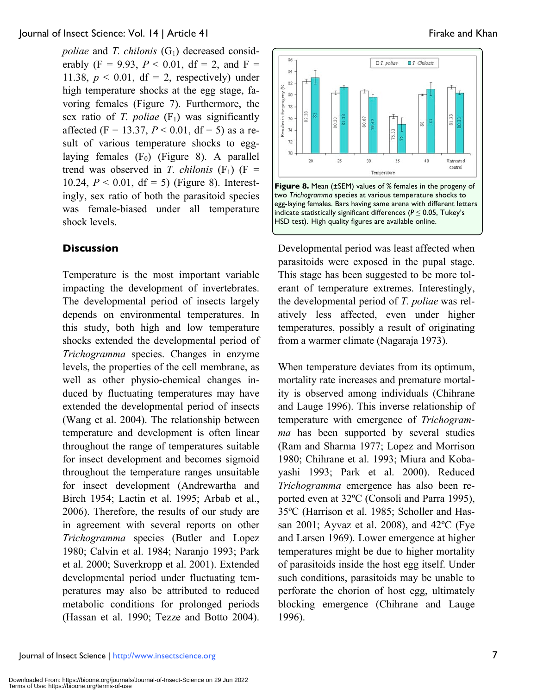*poliae* and *T. chilonis*  $(G_1)$  decreased considerably  $(F = 9.93, P < 0.01, df = 2, and F =$ 11.38,  $p < 0.01$ , df = 2, respectively) under high temperature shocks at the egg stage, favoring females (Figure 7). Furthermore, the sex ratio of *T. poliae*  $(F_1)$  was significantly affected (F = 13.37,  $P < 0.01$ , df = 5) as a result of various temperature shocks to egglaying females  $(F_0)$  (Figure 8). A parallel trend was observed in *T. chilonis*  $(F_1)$   $(F =$ 10.24,  $P < 0.01$ , df = 5) (Figure 8). Interestingly, sex ratio of both the parasitoid species was female-biased under all temperature shock levels.

### **Discussion**

Temperature is the most important variable impacting the development of invertebrates. The developmental period of insects largely depends on environmental temperatures. In this study, both high and low temperature shocks extended the developmental period of *Trichogramma* species. Changes in enzyme levels, the properties of the cell membrane, as well as other physio-chemical changes induced by fluctuating temperatures may have extended the developmental period of insects (Wang et al. 2004). The relationship between temperature and development is often linear throughout the range of temperatures suitable for insect development and becomes sigmoid throughout the temperature ranges unsuitable for insect development (Andrewartha and Birch 1954; Lactin et al. 1995; Arbab et al., 2006). Therefore, the results of our study are in agreement with several reports on other *Trichogramma* species (Butler and Lopez 1980; Calvin et al. 1984; Naranjo 1993; Park et al. 2000; Suverkropp et al. 2001). Extended developmental period under fluctuating temperatures may also be attributed to reduced metabolic conditions for prolonged periods (Hassan et al. 1990; Tezze and Botto 2004).

![](_page_7_Figure_5.jpeg)

Developmental period was least affected when parasitoids were exposed in the pupal stage. This stage has been suggested to be more tolerant of temperature extremes. Interestingly, the developmental period of *T. poliae* was relatively less affected, even under higher temperatures, possibly a result of originating from a warmer climate (Nagaraja 1973).

When temperature deviates from its optimum, mortality rate increases and premature mortality is observed among individuals (Chihrane and Lauge 1996). This inverse relationship of temperature with emergence of *Trichogramma* has been supported by several studies (Ram and Sharma 1977; Lopez and Morrison 1980; Chihrane et al. 1993; Miura and Kobayashi 1993; Park et al. 2000). Reduced *Trichogramma* emergence has also been reported even at 32ºC (Consoli and Parra 1995), 35ºC (Harrison et al. 1985; Scholler and Hassan 2001; Ayvaz et al. 2008), and 42ºC (Fye and Larsen 1969). Lower emergence at higher temperatures might be due to higher mortality of parasitoids inside the host egg itself. Under such conditions, parasitoids may be unable to perforate the chorion of host egg, ultimately blocking emergence (Chihrane and Lauge 1996).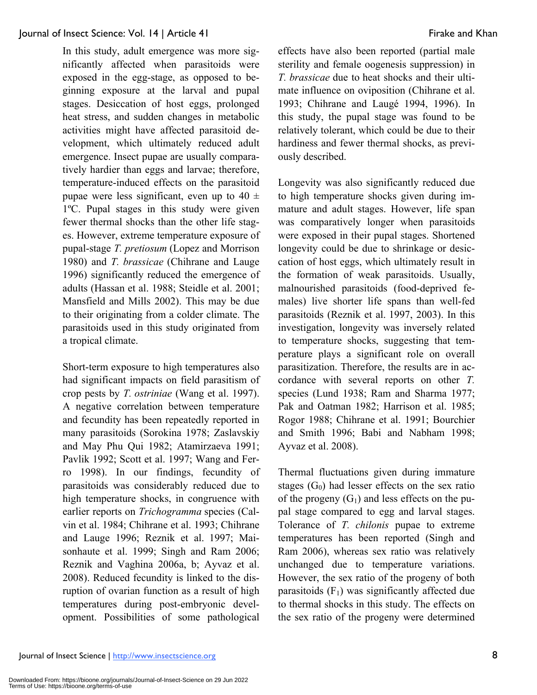In this study, adult emergence was more significantly affected when parasitoids were exposed in the egg-stage, as opposed to beginning exposure at the larval and pupal stages. Desiccation of host eggs, prolonged heat stress, and sudden changes in metabolic activities might have affected parasitoid development, which ultimately reduced adult emergence. Insect pupae are usually comparatively hardier than eggs and larvae; therefore, temperature-induced effects on the parasitoid pupae were less significant, even up to  $40 \pm$ 1ºC. Pupal stages in this study were given fewer thermal shocks than the other life stages. However, extreme temperature exposure of pupal-stage *T. pretiosum* (Lopez and Morrison 1980) and *T. brassicae* (Chihrane and Lauge 1996) significantly reduced the emergence of adults (Hassan et al. 1988; Steidle et al. 2001; Mansfield and Mills 2002). This may be due to their originating from a colder climate. The parasitoids used in this study originated from a tropical climate.

Short-term exposure to high temperatures also had significant impacts on field parasitism of crop pests by *T. ostriniae* (Wang et al. 1997). A negative correlation between temperature and fecundity has been repeatedly reported in many parasitoids (Sorokina 1978; Zaslavskiy and May Phu Qui 1982; Atamirzaeva 1991; Pavlik 1992; Scott et al. 1997; Wang and Ferro 1998). In our findings, fecundity of parasitoids was considerably reduced due to high temperature shocks, in congruence with earlier reports on *Trichogramma* species (Calvin et al. 1984; Chihrane et al. 1993; Chihrane and Lauge 1996; Reznik et al. 1997; Maisonhaute et al. 1999; Singh and Ram 2006; Reznik and Vaghina 2006a, b; Ayvaz et al. 2008). Reduced fecundity is linked to the disruption of ovarian function as a result of high temperatures during post-embryonic development. Possibilities of some pathological effects have also been reported (partial male sterility and female oogenesis suppression) in *T. brassicae* due to heat shocks and their ultimate influence on oviposition (Chihrane et al. 1993; Chihrane and Laugé 1994, 1996). In this study, the pupal stage was found to be relatively tolerant, which could be due to their hardiness and fewer thermal shocks, as previously described.

Longevity was also significantly reduced due to high temperature shocks given during immature and adult stages. However, life span was comparatively longer when parasitoids were exposed in their pupal stages. Shortened longevity could be due to shrinkage or desiccation of host eggs, which ultimately result in the formation of weak parasitoids. Usually, malnourished parasitoids (food-deprived females) live shorter life spans than well-fed parasitoids (Reznik et al. 1997, 2003). In this investigation, longevity was inversely related to temperature shocks, suggesting that temperature plays a significant role on overall parasitization. Therefore, the results are in accordance with several reports on other *T.*  species (Lund 1938; Ram and Sharma 1977; Pak and Oatman 1982; Harrison et al. 1985; Rogor 1988; Chihrane et al. 1991; Bourchier and Smith 1996; Babi and Nabham 1998; Ayvaz et al. 2008).

Thermal fluctuations given during immature stages  $(G_0)$  had lesser effects on the sex ratio of the progeny  $(G_1)$  and less effects on the pupal stage compared to egg and larval stages. Tolerance of *T. chilonis* pupae to extreme temperatures has been reported (Singh and Ram 2006), whereas sex ratio was relatively unchanged due to temperature variations. However, the sex ratio of the progeny of both parasitoids  $(F_1)$  was significantly affected due to thermal shocks in this study. The effects on the sex ratio of the progeny were determined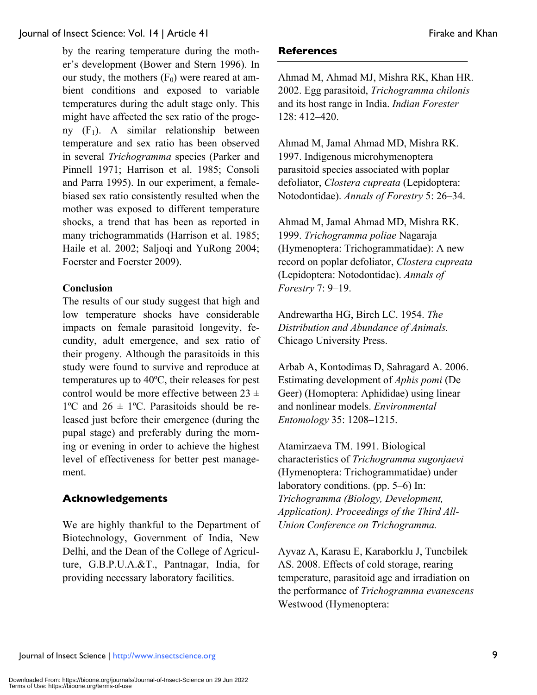by the rearing temperature during the mother's development (Bower and Stern 1996). In our study, the mothers  $(F_0)$  were reared at ambient conditions and exposed to variable temperatures during the adult stage only. This might have affected the sex ratio of the progeny  $(F_1)$ . A similar relationship between temperature and sex ratio has been observed in several *Trichogramma* species (Parker and Pinnell 1971; Harrison et al. 1985; Consoli and Parra 1995). In our experiment, a femalebiased sex ratio consistently resulted when the mother was exposed to different temperature shocks, a trend that has been as reported in many trichogrammatids (Harrison et al. 1985; Haile et al. 2002; Saljoqi and YuRong 2004; Foerster and Foerster 2009).

### **Conclusion**

The results of our study suggest that high and low temperature shocks have considerable impacts on female parasitoid longevity, fecundity, adult emergence, and sex ratio of their progeny. Although the parasitoids in this study were found to survive and reproduce at temperatures up to 40ºC, their releases for pest control would be more effective between  $23 \pm$  $1^{\circ}$ C and  $26 \pm 1^{\circ}$ C. Parasitoids should be released just before their emergence (during the pupal stage) and preferably during the morning or evening in order to achieve the highest level of effectiveness for better pest management.

### **Acknowledgements**

We are highly thankful to the Department of Biotechnology, Government of India, New Delhi, and the Dean of the College of Agriculture, G.B.P.U.A.&T., Pantnagar, India, for providing necessary laboratory facilities.

### **References**

Ahmad M, Ahmad MJ, Mishra RK, Khan HR. 2002. Egg parasitoid, *Trichogramma chilonis* and its host range in India. *Indian Forester* 128: 412–420.

Ahmad M, Jamal Ahmad MD, Mishra RK. 1997. Indigenous microhymenoptera parasitoid species associated with poplar defoliator, *Clostera cupreata* (Lepidoptera: Notodontidae). *Annals of Forestry* 5: 26–34.

Ahmad M, Jamal Ahmad MD, Mishra RK. 1999. *Trichogramma poliae* Nagaraja (Hymenoptera: Trichogrammatidae): A new record on poplar defoliator, *Clostera cupreata* (Lepidoptera: Notodontidae). *Annals of Forestry* 7: 9–19.

Andrewartha HG, Birch LC. 1954. *The Distribution and Abundance of Animals.* Chicago University Press.

Arbab A, Kontodimas D, Sahragard A. 2006. Estimating development of *Aphis pomi* (De Geer) (Homoptera: Aphididae) using linear and nonlinear models. *Environmental Entomology* 35: 1208–1215.

Atamirzaeva ТМ. 1991. Biological characteristics of *Trichogramma sugonjaevi*  (Hymenoptera: Trichogrammatidae) under laboratory conditions. (pp. 5–6) In: *Trichogramma (Biology, Development, Application). Proceedings of the Third All-Union Conference on Trichogramma.*

Ayvaz A, Karasu E, Karaborklu J, Tuncbilek AS. 2008. Effects of cold storage, rearing temperature, parasitoid age and irradiation on the performance of *Trichogramma evanescens*  Westwood (Hymenoptera: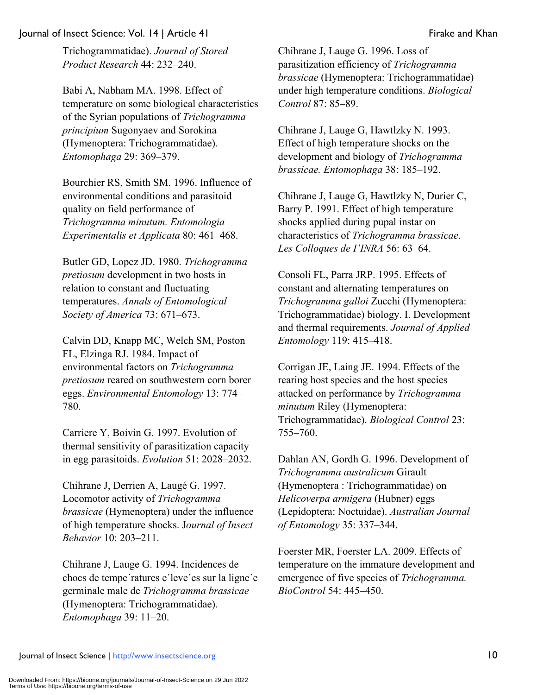Trichogrammatidae). *Journal of Stored Product Research* 44: 232–240.

Babi A, Nabham MA. 1998. Effect of temperature on some biological characteristics of the Syrian populations of *Trichogramma principium* Sugonyaev and Sorokina (Hymenoptera: Trichogrammatidae). *Entomophaga* 29: 369–379.

Bourchier RS, Smith SM. 1996. Influence of environmental conditions and parasitoid quality on field performance of *Trichogramma minutum. Entomologia Experimentalis et Applicata* 80: 461–468.

Butler GD, Lopez JD. 1980. *Trichogramma pretiosum* development in two hosts in relation to constant and fluctuating temperatures. *Annals of Entomological Society of America* 73: 671–673.

Calvin DD, Knapp MC, Welch SM, Poston FL, Elzinga RJ. 1984. Impact of environmental factors on *Trichogramma pretiosum* reared on southwestern corn borer eggs. *Environmental Entomology* 13: 774– 780.

Carriere Y, Boivin G. 1997. Evolution of thermal sensitivity of parasitization capacity in egg parasitoids. *Evolution* 51: 2028–2032.

Chihrane J, Derrien A, Laugé G. 1997. Locomotor activity of *Trichogramma brassicae* (Hymenoptera) under the influence of high temperature shocks. J*ournal of Insect Behavior* 10: 203–211.

Chihrane J, Lauge G. 1994. Incidences de chocs de tempe´ratures e´leve´es sur la ligne´e germinale male de *Trichogramma brassicae*  (Hymenoptera: Trichogrammatidae). *Entomophaga* 39: 11–20.

Chihrane J, Lauge G. 1996. Loss of parasitization efficiency of *Trichogramma brassicae* (Hymenoptera: Trichogrammatidae) under high temperature conditions. *Biological Control* 87: 85–89.

Chihrane J, Lauge G, Hawtlzky N. 1993. Effect of high temperature shocks on the development and biology of *Trichogramma brassicae. Entomophaga* 38: 185–192.

Chihrane J, Lauge G, Hawtlzky N, Durier C, Barry P. 1991. Effect of high temperature shocks applied during pupal instar on characteristics of *Trichogramma brassicae*. *Les Colloques de I'INRA* 56: 63–64.

Consoli FL, Parra JRP. 1995. Effects of constant and alternating temperatures on *Trichogramma galloi* Zucchi (Hymenoptera: Trichogrammatidae) biology. I. Development and thermal requirements. *Journal of Applied Entomology* 119: 415–418.

Corrigan JE, Laing JE. 1994. Effects of the rearing host species and the host species attacked on performance by *Trichogramma minutum* Riley (Hymenoptera: Trichogrammatidae). *Biological Control* 23: 755–760.

Dahlan AN, Gordh G. 1996. Development of *Trichogramma australicum* Girault (Hymenoptera : Trichogrammatidae) on *Helicoverpa armigera* (Hubner) eggs (Lepidoptera: Noctuidae). *Australian Journal of Entomology* 35: 337–344.

Foerster MR, Foerster LA. 2009. Effects of temperature on the immature development and emergence of five species of *Trichogramma. BioControl* 54: 445–450.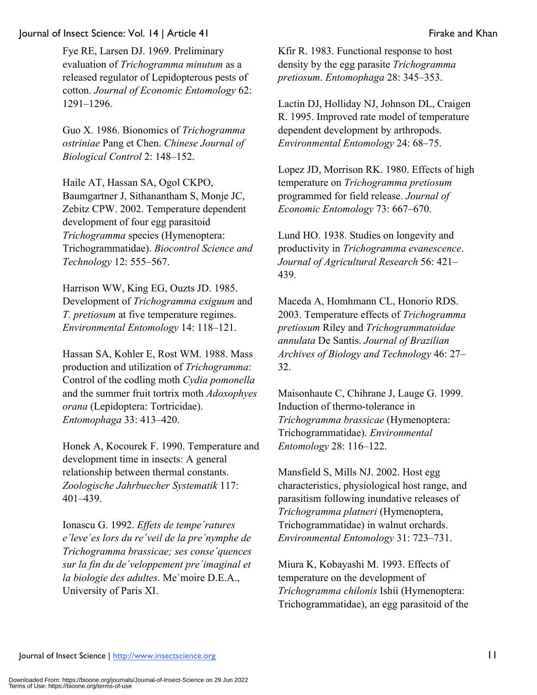Fye RE, Larsen DJ. 1969. Preliminary evaluation of *Trichogramma minutum* as a released regulator of Lepidopterous pests of cotton. *Journal of Economic Entomology* 62: 1291–1296.

Guo X. 1986. Bionomics of *Trichogramma ostriniae* Pang et Chen. *Chinese Journal of Biological Control* 2: 148–152.

Haile AT, Hassan SA, Ogol CKPO, Baumgartner J, Sithanantham S, Monje JC, Zebitz CPW. 2002. Temperature dependent development of four egg parasitoid *Trichogramma* species (Hymenoptera: Trichogrammatidae). *Biocontrol Science and Technology* 12: 555–567.

Harrison WW, King EG, Ouzts JD. 1985. Development of *Trichogramma exiguum* and *T. pretiosum* at five temperature regimes. *Environmental Entomology* 14: 118–121.

Hassan SA, Kohler E, Rost WM. 1988. Mass production and utilization of *Trichogramma*: Control of the codling moth *Cydia pomonella* and the summer fruit tortrix moth *Adoxophyes orana* (Lepidoptera: Tortricidae). *Entomophaga* 33: 413–420.

Honek A, Kocourek F. 1990. Temperature and development time in insects: A general relationship between thermal constants. *Zoologische Jahrbuecher Systematik* 117: 401–439.

Ionascu G. 1992. *Effets de tempe´ratures e´leve´es lors du re´veil de la pre´nymphe de Trichogramma brassicae; ses conse´quences sur la fin du de´veloppement pre´imaginal et la biologie des adultes*. Me´moire D.E.A., University of Paris XI.

Kfir R. 1983. Functional response to host density by the egg parasite *Trichogramma pretiosum*. *Entomophaga* 28: 345–353.

Lactin DJ, Holliday NJ, Johnson DL, Craigen R. 1995. Improved rate model of temperature dependent development by arthropods. *Environmental Entomology* 24: 68–75.

Lopez JD, Morrison RK. 1980. Effects of high temperature on *Trichogramma pretiosum* programmed for field release. *Journal of Economic Entomology* 73: 667–670.

Lund HO. 1938. Studies on longevity and productivity in *Trichogramma evanescence*. *Journal of Agricultural Research* 56: 421– 439.

Maceda A, Homhmann CL, Honorio RDS. 2003. Temperature effects of *Trichogramma pretiosum* Riley and *Trichogrammatoidae annulata* De Santis. *Journal of Brazilian Archives of Biology and Technology* 46: 27– 32.

Maisonhaute C, Chihrane J, Lauge G. 1999. Induction of thermo-tolerance in *Trichogramma brassicae* (Hymenoptera: Trichogrammatidae). *Environmental Entomology* 28: 116–122.

Mansfield S, Mills NJ. 2002. Host egg characteristics, physiological host range, and parasitism following inundative releases of *Trichogramma platneri* (Hymenoptera, Trichogrammatidae) in walnut orchards. *Environmental Entomology* 31: 723–731.

Miura K, Kobayashi M. 1993. Effects of temperature on the development of *Trichogramma chilonis* Ishii (Hymenoptera: Trichogrammatidae), an egg parasitoid of the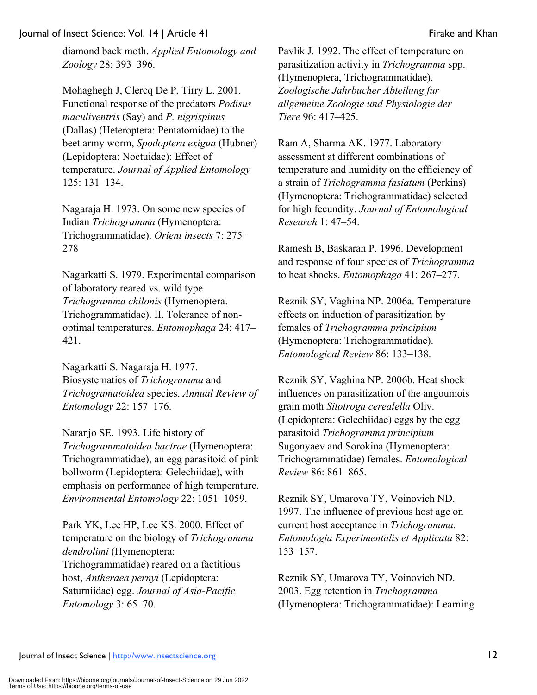diamond back moth. *Applied Entomology and Zoology* 28: 393–396.

Mohaghegh J, Clercq De P, Tirry L. 2001. Functional response of the predators *Podisus maculiventris* (Say) and *P. nigrispinus* (Dallas) (Heteroptera: Pentatomidae) to the beet army worm, *Spodoptera exigua* (Hubner) (Lepidoptera: Noctuidae): Effect of temperature. *Journal of Applied Entomology* 125: 131–134.

Nagaraja H. 1973. On some new species of Indian *Trichogramma* (Hymenoptera: Trichogrammatidae). *Orient insects* 7: 275– 278

Nagarkatti S. 1979. Experimental comparison of laboratory reared vs. wild type *Trichogramma chilonis* (Hymenoptera. Trichogrammatidae). II. Tolerance of nonoptimal temperatures. *Entomophaga* 24: 417– 421.

Nagarkatti S. Nagaraja H. 1977. Biosystematics of *Trichogramma* and *Trichogramatoidea* species. *Annual Review of Entomology* 22: 157–176.

Naranjo SE. 1993. Life history of *Trichogrammatoidea bactrae* (Hymenoptera: Trichogrammatidae), an egg parasitoid of pink bollworm (Lepidoptera: Gelechiidae), with emphasis on performance of high temperature. *Environmental Entomology* 22: 1051–1059.

Park YK, Lee HP, Lee KS. 2000. Effect of temperature on the biology of *Trichogramma dendrolimi* (Hymenoptera: Trichogrammatidae) reared on a factitious host, *Antheraea pernyi* (Lepidoptera: Saturniidae) egg. *Journal of Asia-Pacific Entomology* 3: 65–70.

Pavlik J. 1992. The effect of temperature on parasitization activity in *Trichogramma* spp. (Hymenoptera, Trichogrammatidae). *Zoologische Jahrbucher Abteilung fur allgemeine Zoologie und Physiologie der Tiere* 96: 417–425.

Ram A, Sharma AK. 1977. Laboratory assessment at different combinations of temperature and humidity on the efficiency of a strain of *Trichogramma fasiatum* (Perkins) (Hymenoptera: Trichogrammatidae) selected for high fecundity. *Journal of Entomological Research* 1: 47–54.

Ramesh B, Baskaran P. 1996. Development and response of four species of *Trichogramma* to heat shocks. *Entomophaga* 41: 267–277.

Reznik SY, Vaghina NP. 2006a. Temperature effects on induction of parasitization by females of *Trichogramma principium*  (Hymenoptera: Trichogrammatidae). *Entomological Review* 86: 133–138.

Reznik SY, Vaghina NP. 2006b. Heat shock influences on parasitization of the angoumois grain moth *Sitotroga cerealella* Oliv. (Lepidoptera: Gelechiidae) eggs by the egg parasitoid *Trichogramma principium* Sugonyaev and Sorokina (Hymenoptera: Trichogrammatidae) females. *Entomological Review* 86: 861–865.

Reznik SY, Umarova TY, Voinovich ND. 1997. The influence of previous host age on current host acceptance in *Trichogramma. Entomologia Experimentalis et Applicata* 82: 153–157.

Reznik SY, Umarova TY, Voinovich ND. 2003. Egg retention in *Trichogramma*  (Hymenoptera: Trichogrammatidae): Learning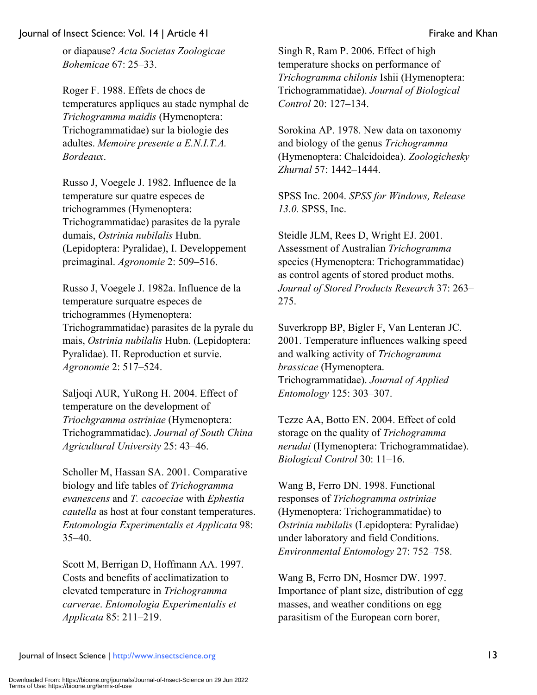or diapause? *Acta Societas Zoologicae Bohemicae* 67: 25–33.

Roger F. 1988. Effets de chocs de temperatures appliques au stade nymphal de *Trichogramma maidis* (Hymenoptera: Trichogrammatidae) sur la biologie des adultes. *Memoire presente a E.N.I.T.A. Bordeaux*.

Russo J, Voegele J. 1982. Influence de la temperature sur quatre especes de trichogrammes (Hymenoptera: Trichogrammatidae) parasites de la pyrale dumais, *Ostrinia nubilalis* Hubn. (Lepidoptera: Pyralidae), I. Developpement preimaginal. *Agronomie* 2: 509–516.

Russo J, Voegele J. 1982a. Influence de la temperature surquatre especes de trichogrammes (Hymenoptera: Trichogrammatidae) parasites de la pyrale du mais, *Ostrinia nubilalis* Hubn. (Lepidoptera: Pyralidae). II. Reproduction et survie. *Agronomie* 2: 517–524.

Saljoqi AUR, YuRong H. 2004. Effect of temperature on the development of *Triochgramma ostriniae* (Hymenoptera: Trichogrammatidae). *Journal of South China Agricultural University* 25: 43–46.

Scholler M, Hassan SA. 2001. Comparative biology and life tables of *Trichogramma evanescens* and *T. cacoeciae* with *Ephestia cautella* as host at four constant temperatures. *Entomologia Experimentalis et Applicata* 98: 35–40.

Scott M, Berrigan D, Hoffmann AA. 1997. Costs and benefits of acclimatization to elevated temperature in *Trichogramma carverae*. *Entomologia Experimentalis et Applicata* 85: 211–219.

Singh R, Ram P. 2006. Effect of high temperature shocks on performance of *Trichogramma chilonis* Ishii (Hymenoptera: Trichogrammatidae). *Journal of Biological Control* 20: 127–134.

Sorokina AP. 1978. New data on taxonomy and biology of the genus *Trichogramma*  (Hymenoptera: Chalcidoidea). *Zoologichesky Zhurnal* 57: 1442–1444.

SPSS Inc. 2004. *SPSS for Windows, Release 13.0.* SPSS, Inc.

Steidle JLM, Rees D, Wright EJ. 2001. Assessment of Australian *Trichogramma* species (Hymenoptera: Trichogrammatidae) as control agents of stored product moths. *Journal of Stored Products Research* 37: 263– 275.

Suverkropp BP, Bigler F, Van Lenteran JC. 2001. Temperature influences walking speed and walking activity of *Trichogramma brassicae* (Hymenoptera. Trichogrammatidae). *Journal of Applied Entomology* 125: 303–307.

Tezze AA, Botto EN. 2004. Effect of cold storage on the quality of *Trichogramma nerudai* (Hymenoptera: Trichogrammatidae). *Biological Control* 30: 11–16.

Wang B, Ferro DN. 1998. Functional responses of *Trichogramma ostriniae*  (Hymenoptera: Trichogrammatidae) to *Ostrinia nubilalis* (Lepidoptera: Pyralidae) under laboratory and field Conditions. *Environmental Entomology* 27: 752–758.

Wang B, Ferro DN, Hosmer DW. 1997. Importance of plant size, distribution of egg masses, and weather conditions on egg parasitism of the European corn borer,